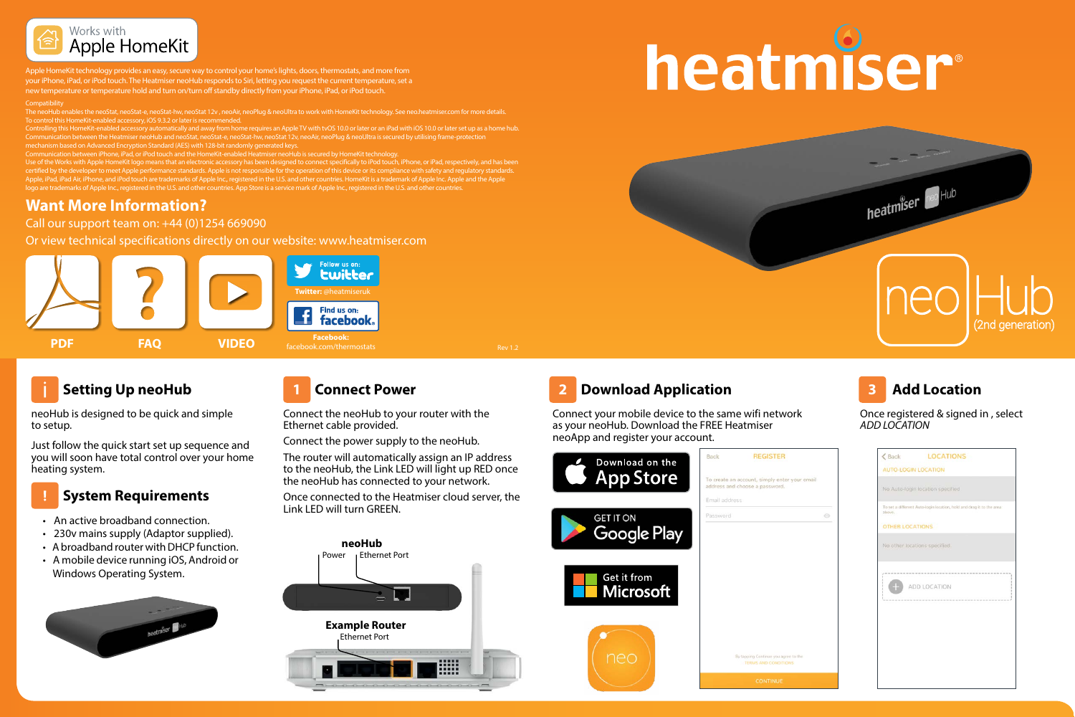

Apple HomeKit technology provides an easy, secure way to control your home's lights, doors, thermostats, and more from your iPhone, iPad, or iPod touch. The Heatmiser neoHub responds to Siri, letting you request the current temperature, set a

new temperature or temperature hold and turn on/turn off standby directly from your iPhone, iPad, or iPod touch.

#### Compatibility<br>The neoHub en

Communication between the Heatmiser neoHub and neoStat, neoStat-e, neoStat-hw, neoStat 12v, neoAir, neoPlug & neoUltra is secured by utilising frame-protection

Use of the Works with Apple HomeKit logo means that an electronic accessory has been designed to connect specifically to iPod touch, iPhone, or iPad, respectively, and has been<br>certified by the developer to meet Apple perf he, and iPod touch are trademarks of Apple Inc., registered in the U.S. and other countries. HomeKit is a trademark of Apple Inc. Apple and the Apple

## **Want More Information?**

Call our support team on: +44 (0)1254 669090

Or view technical specifications directly on our website: www.heatmiser.com



# **Setting Up neoHub**

neoHub is designed to be quick and simple to setup.

Just follow the quick start set up sequence and you will soon have total control over your home heating system.

# **System Requirements**

- An active broadband connection.
- 230v mains supply (Adaptor supplied).
- A broadband router with DHCP function.
- A mobile device running iOS, Android or Windows Operating System.



Connect the neoHub to your router with the Ethernet cable provided.

Connect the power supply to the neoHub.

The router will automatically assign an IP address to the neoHub, the Link LED will light up RED once the neoHub has connected to your network.

Once connected to the Heatmiser cloud server, the Link LED will turn GREEN.



# heatmiser®



# **1** Connect Power **Download Application Business Connect Power**

Connect your mobile device to the same wifi network as your neoHub. Download the FREE Heatmiser neoApp and register your account.





Once registered & signed in , select *ADD LOCATION*